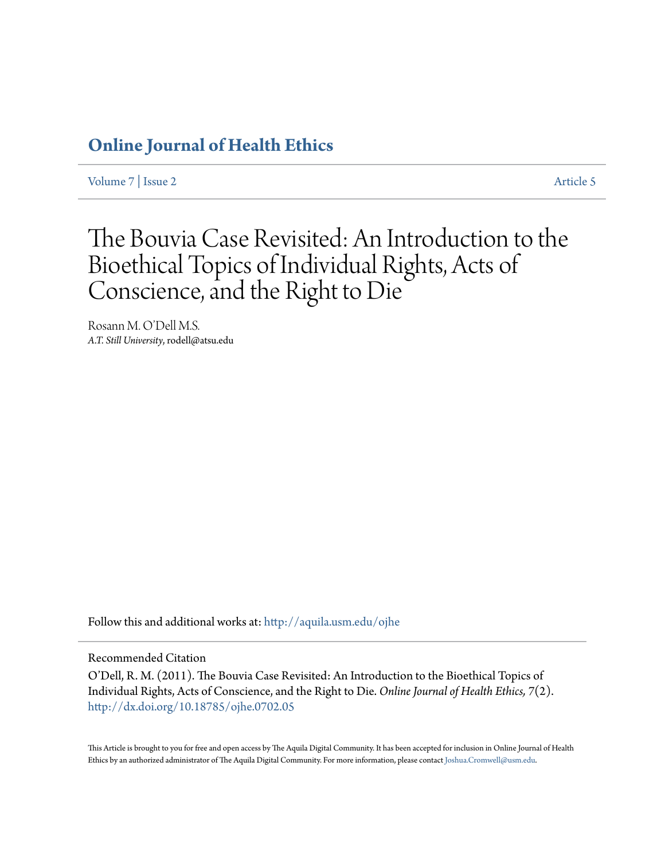### **[Online Journal of Health Ethics](http://aquila.usm.edu/ojhe?utm_source=aquila.usm.edu%2Fojhe%2Fvol7%2Fiss2%2F5&utm_medium=PDF&utm_campaign=PDFCoverPages)**

[Volume 7](http://aquila.usm.edu/ojhe/vol7?utm_source=aquila.usm.edu%2Fojhe%2Fvol7%2Fiss2%2F5&utm_medium=PDF&utm_campaign=PDFCoverPages) | [Issue 2](http://aquila.usm.edu/ojhe/vol7/iss2?utm_source=aquila.usm.edu%2Fojhe%2Fvol7%2Fiss2%2F5&utm_medium=PDF&utm_campaign=PDFCoverPages) [Article 5](http://aquila.usm.edu/ojhe/vol7/iss2/5?utm_source=aquila.usm.edu%2Fojhe%2Fvol7%2Fiss2%2F5&utm_medium=PDF&utm_campaign=PDFCoverPages)

## The Bouvia Case Revisited: An Introduction to the Bioethical Topics of Individual Rights, Acts of Conscience, and the Right to Die

Rosann M. O'Dell M.S. *A.T. Still University*, rodell@atsu.edu

Follow this and additional works at: [http://aquila.usm.edu/ojhe](http://aquila.usm.edu/ojhe?utm_source=aquila.usm.edu%2Fojhe%2Fvol7%2Fiss2%2F5&utm_medium=PDF&utm_campaign=PDFCoverPages)

#### Recommended Citation

O'Dell, R. M. (2011). The Bouvia Case Revisited: An Introduction to the Bioethical Topics of Individual Rights, Acts of Conscience, and the Right to Die. *Online Journal of Health Ethics, 7*(2). <http://dx.doi.org/10.18785/ojhe.0702.05>

This Article is brought to you for free and open access by The Aquila Digital Community. It has been accepted for inclusion in Online Journal of Health Ethics by an authorized administrator of The Aquila Digital Community. For more information, please contact [Joshua.Cromwell@usm.edu.](mailto:Joshua.Cromwell@usm.edu)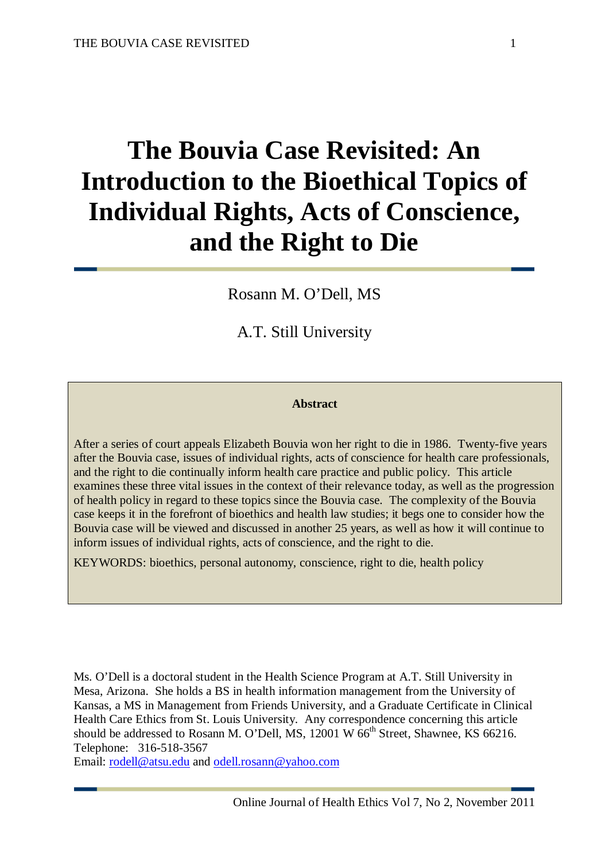# **The Bouvia Case Revisited: An Introduction to the Bioethical Topics of Individual Rights, Acts of Conscience, and the Right to Die**

Rosann M. O'Dell, MS

A.T. Still University

#### **Abstract**

After a series of court appeals Elizabeth Bouvia won her right to die in 1986. Twenty-five years after the Bouvia case, issues of individual rights, acts of conscience for health care professionals, and the right to die continually inform health care practice and public policy. This article examines these three vital issues in the context of their relevance today, as well as the progression of health policy in regard to these topics since the Bouvia case. The complexity of the Bouvia case keeps it in the forefront of bioethics and health law studies; it begs one to consider how the Bouvia case will be viewed and discussed in another 25 years, as well as how it will continue to inform issues of individual rights, acts of conscience, and the right to die.

KEYWORDS: bioethics, personal autonomy, conscience, right to die, health policy

Ms. O'Dell is a doctoral student in the Health Science Program at A.T. Still University in Mesa, Arizona. She holds a BS in health information management from the University of Kansas, a MS in Management from Friends University, and a Graduate Certificate in Clinical Health Care Ethics from St. Louis University. Any correspondence concerning this article should be addressed to Rosann M. O'Dell, MS,  $12001 \text{ W } 66^{\text{th}}$  Street, Shawnee, KS 66216. Telephone: 316-518-3567

Email: [rodell@atsu.edu](mailto:rodell@atsu.edu) and [odell.rosann@yahoo.com](mailto:odell.rosann@yahoo.com)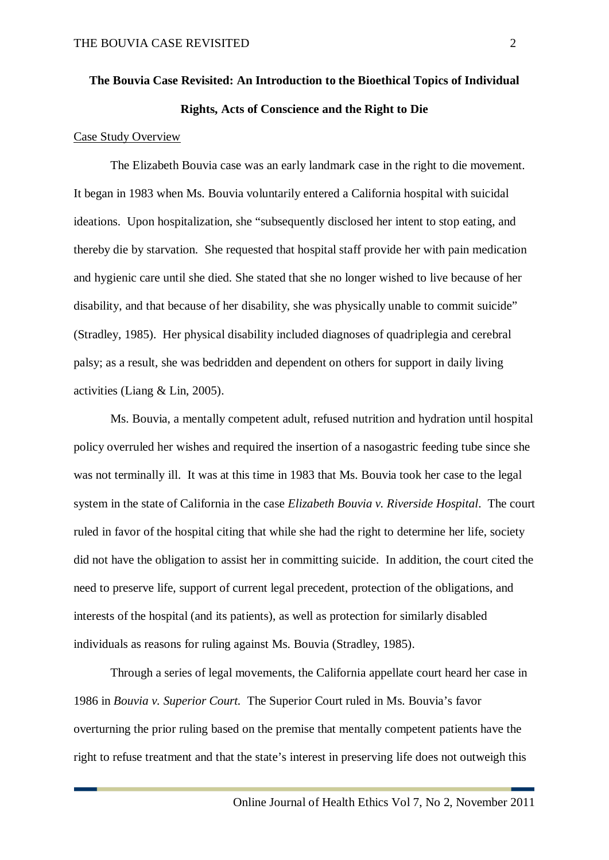## **The Bouvia Case Revisited: An Introduction to the Bioethical Topics of Individual Rights, Acts of Conscience and the Right to Die**

#### Case Study Overview

The Elizabeth Bouvia case was an early landmark case in the right to die movement. It began in 1983 when Ms. Bouvia voluntarily entered a California hospital with suicidal ideations. Upon hospitalization, she "subsequently disclosed her intent to stop eating, and thereby die by starvation. She requested that hospital staff provide her with pain medication and hygienic care until she died. She stated that she no longer wished to live because of her disability, and that because of her disability, she was physically unable to commit suicide" (Stradley, 1985). Her physical disability included diagnoses of quadriplegia and cerebral palsy; as a result, she was bedridden and dependent on others for support in daily living activities (Liang & Lin, 2005).

Ms. Bouvia, a mentally competent adult, refused nutrition and hydration until hospital policy overruled her wishes and required the insertion of a nasogastric feeding tube since she was not terminally ill. It was at this time in 1983 that Ms. Bouvia took her case to the legal system in the state of California in the case *Elizabeth Bouvia v. Riverside Hospital*. The court ruled in favor of the hospital citing that while she had the right to determine her life, society did not have the obligation to assist her in committing suicide. In addition, the court cited the need to preserve life, support of current legal precedent, protection of the obligations, and interests of the hospital (and its patients), as well as protection for similarly disabled individuals as reasons for ruling against Ms. Bouvia (Stradley, 1985).

Through a series of legal movements, the California appellate court heard her case in 1986 in *Bouvia v. Superior Court.* The Superior Court ruled in Ms. Bouvia's favor overturning the prior ruling based on the premise that mentally competent patients have the right to refuse treatment and that the state's interest in preserving life does not outweigh this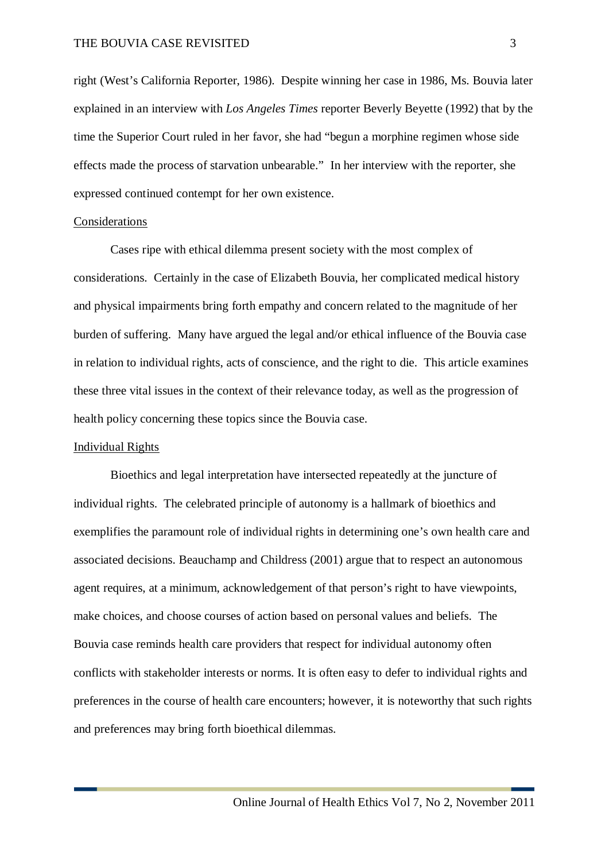right (West's California Reporter, 1986). Despite winning her case in 1986, Ms. Bouvia later explained in an interview with *Los Angeles Times* reporter Beverly Beyette (1992) that by the time the Superior Court ruled in her favor, she had "begun a morphine regimen whose side effects made the process of starvation unbearable." In her interview with the reporter, she expressed continued contempt for her own existence.

#### Considerations

Cases ripe with ethical dilemma present society with the most complex of considerations. Certainly in the case of Elizabeth Bouvia, her complicated medical history and physical impairments bring forth empathy and concern related to the magnitude of her burden of suffering. Many have argued the legal and/or ethical influence of the Bouvia case in relation to individual rights, acts of conscience, and the right to die. This article examines these three vital issues in the context of their relevance today, as well as the progression of health policy concerning these topics since the Bouvia case.

#### Individual Rights

Bioethics and legal interpretation have intersected repeatedly at the juncture of individual rights. The celebrated principle of autonomy is a hallmark of bioethics and exemplifies the paramount role of individual rights in determining one's own health care and associated decisions. Beauchamp and Childress (2001) argue that to respect an autonomous agent requires, at a minimum, acknowledgement of that person's right to have viewpoints, make choices, and choose courses of action based on personal values and beliefs. The Bouvia case reminds health care providers that respect for individual autonomy often conflicts with stakeholder interests or norms. It is often easy to defer to individual rights and preferences in the course of health care encounters; however, it is noteworthy that such rights and preferences may bring forth bioethical dilemmas.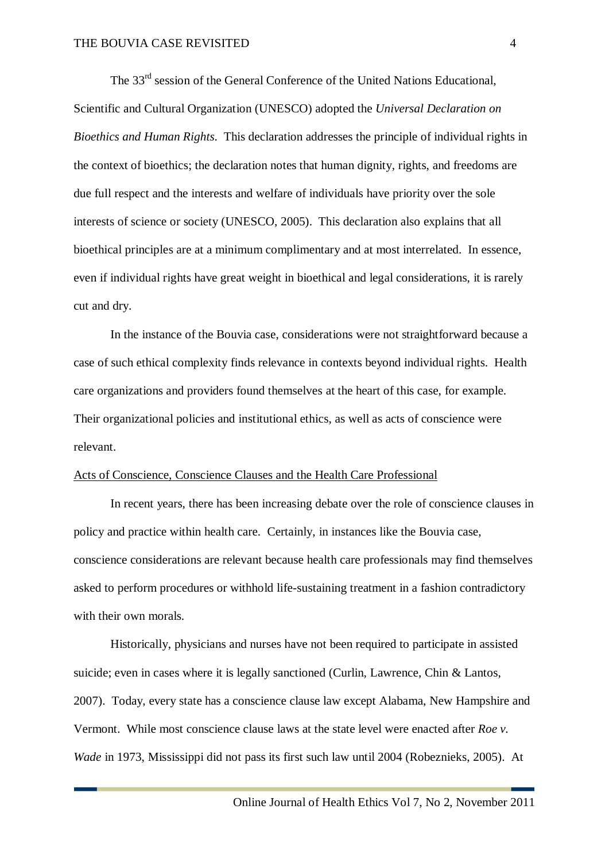The 33<sup>rd</sup> session of the General Conference of the United Nations Educational, Scientific and Cultural Organization (UNESCO) adopted the *Universal Declaration on Bioethics and Human Rights*. This declaration addresses the principle of individual rights in the context of bioethics; the declaration notes that human dignity, rights, and freedoms are due full respect and the interests and welfare of individuals have priority over the sole interests of science or society (UNESCO, 2005). This declaration also explains that all bioethical principles are at a minimum complimentary and at most interrelated. In essence, even if individual rights have great weight in bioethical and legal considerations, it is rarely cut and dry.

In the instance of the Bouvia case, considerations were not straightforward because a case of such ethical complexity finds relevance in contexts beyond individual rights. Health care organizations and providers found themselves at the heart of this case, for example. Their organizational policies and institutional ethics, as well as acts of conscience were relevant.

#### Acts of Conscience, Conscience Clauses and the Health Care Professional

In recent years, there has been increasing debate over the role of conscience clauses in policy and practice within health care. Certainly, in instances like the Bouvia case, conscience considerations are relevant because health care professionals may find themselves asked to perform procedures or withhold life-sustaining treatment in a fashion contradictory with their own morals.

Historically, physicians and nurses have not been required to participate in assisted suicide; even in cases where it is legally sanctioned (Curlin, Lawrence, Chin & Lantos, 2007). Today, every state has a conscience clause law except Alabama, New Hampshire and Vermont. While most conscience clause laws at the state level were enacted after *Roe v. Wade* in 1973, Mississippi did not pass its first such law until 2004 (Robeznieks, 2005). At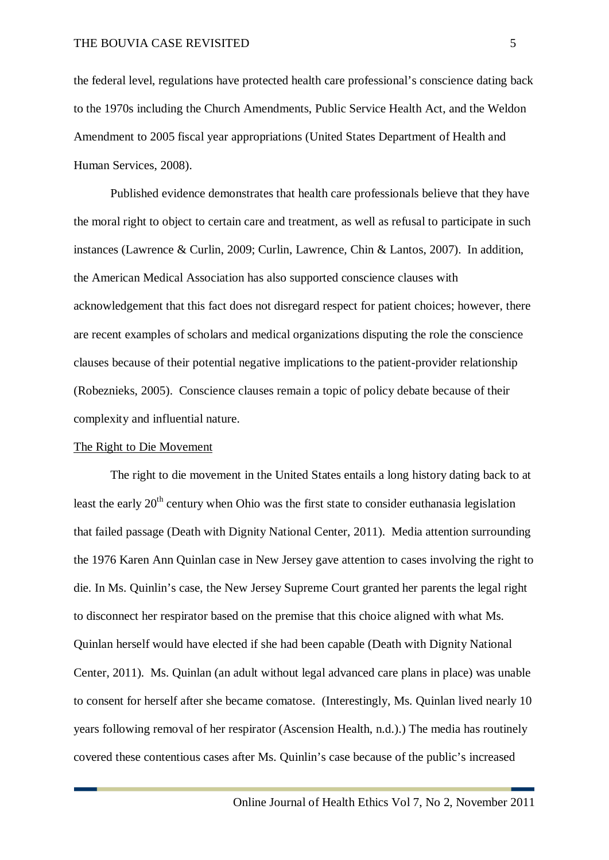the federal level, regulations have protected health care professional's conscience dating back to the 1970s including the Church Amendments, Public Service Health Act, and the Weldon Amendment to 2005 fiscal year appropriations (United States Department of Health and Human Services, 2008).

Published evidence demonstrates that health care professionals believe that they have the moral right to object to certain care and treatment, as well as refusal to participate in such instances (Lawrence & Curlin, 2009; Curlin, Lawrence, Chin & Lantos, 2007). In addition, the American Medical Association has also supported conscience clauses with acknowledgement that this fact does not disregard respect for patient choices; however, there are recent examples of scholars and medical organizations disputing the role the conscience clauses because of their potential negative implications to the patient-provider relationship (Robeznieks, 2005). Conscience clauses remain a topic of policy debate because of their complexity and influential nature.

#### The Right to Die Movement

The right to die movement in the United States entails a long history dating back to at least the early 20<sup>th</sup> century when Ohio was the first state to consider euthanasia legislation that failed passage (Death with Dignity National Center, 2011). Media attention surrounding the 1976 Karen Ann Quinlan case in New Jersey gave attention to cases involving the right to die. In Ms. Quinlin's case, the New Jersey Supreme Court granted her parents the legal right to disconnect her respirator based on the premise that this choice aligned with what Ms. Quinlan herself would have elected if she had been capable (Death with Dignity National Center, 2011). Ms. Quinlan (an adult without legal advanced care plans in place) was unable to consent for herself after she became comatose. (Interestingly, Ms. Quinlan lived nearly 10 years following removal of her respirator (Ascension Health, n.d.).) The media has routinely covered these contentious cases after Ms. Quinlin's case because of the public's increased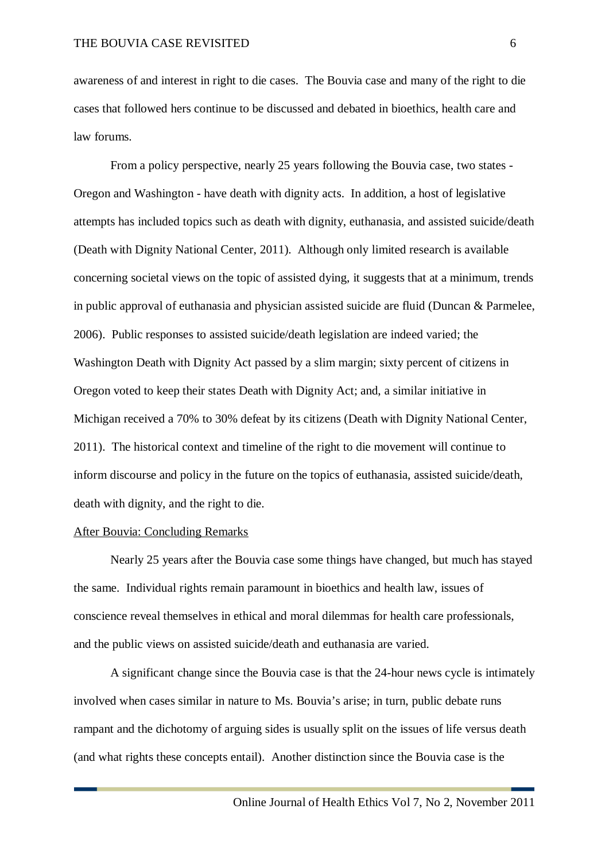awareness of and interest in right to die cases. The Bouvia case and many of the right to die cases that followed hers continue to be discussed and debated in bioethics, health care and law forums.

From a policy perspective, nearly 25 years following the Bouvia case, two states - Oregon and Washington - have death with dignity acts. In addition, a host of legislative attempts has included topics such as death with dignity, euthanasia, and assisted suicide/death (Death with Dignity National Center, 2011). Although only limited research is available concerning societal views on the topic of assisted dying, it suggests that at a minimum, trends in public approval of euthanasia and physician assisted suicide are fluid (Duncan & Parmelee, 2006). Public responses to assisted suicide/death legislation are indeed varied; the Washington Death with Dignity Act passed by a slim margin; sixty percent of citizens in Oregon voted to keep their states Death with Dignity Act; and, a similar initiative in Michigan received a 70% to 30% defeat by its citizens (Death with Dignity National Center, 2011). The historical context and timeline of the right to die movement will continue to inform discourse and policy in the future on the topics of euthanasia, assisted suicide/death, death with dignity, and the right to die.

#### After Bouvia: Concluding Remarks

Nearly 25 years after the Bouvia case some things have changed, but much has stayed the same. Individual rights remain paramount in bioethics and health law, issues of conscience reveal themselves in ethical and moral dilemmas for health care professionals, and the public views on assisted suicide/death and euthanasia are varied.

A significant change since the Bouvia case is that the 24-hour news cycle is intimately involved when cases similar in nature to Ms. Bouvia's arise; in turn, public debate runs rampant and the dichotomy of arguing sides is usually split on the issues of life versus death (and what rights these concepts entail). Another distinction since the Bouvia case is the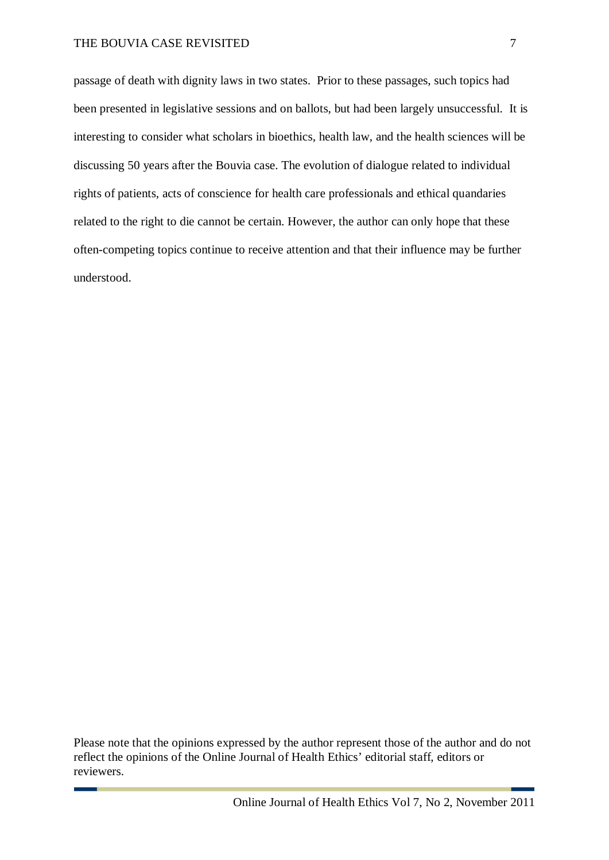#### THE BOUVIA CASE REVISITED 7

passage of death with dignity laws in two states. Prior to these passages, such topics had been presented in legislative sessions and on ballots, but had been largely unsuccessful. It is interesting to consider what scholars in bioethics, health law, and the health sciences will be discussing 50 years after the Bouvia case. The evolution of dialogue related to individual rights of patients, acts of conscience for health care professionals and ethical quandaries related to the right to die cannot be certain. However, the author can only hope that these often-competing topics continue to receive attention and that their influence may be further understood.

Please note that the opinions expressed by the author represent those of the author and do not reflect the opinions of the Online Journal of Health Ethics' editorial staff, editors or reviewers.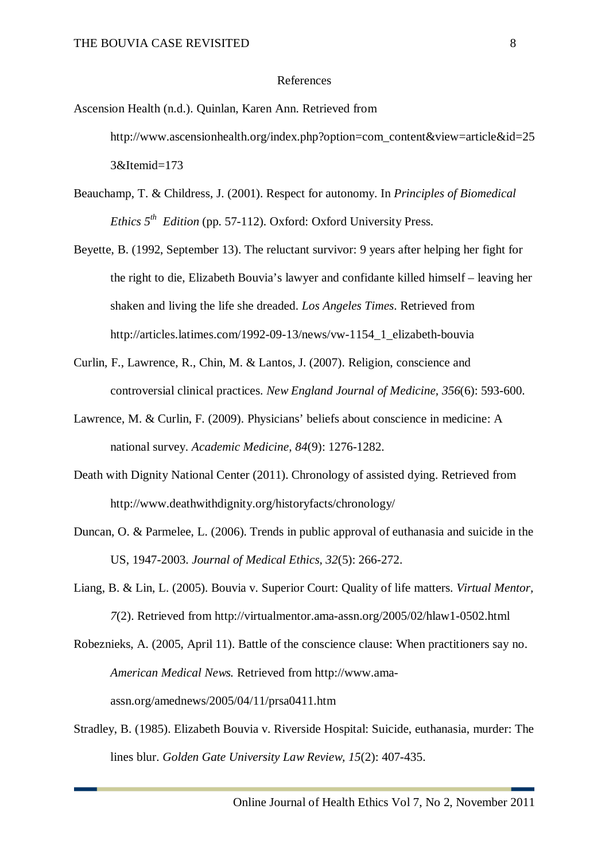#### References

Ascension Health (n.d.). Quinlan, Karen Ann. Retrieved from http://www.ascensionhealth.org/index.php?option=com\_content&view=article&id=25 3&Itemid=173

- Beauchamp, T. & Childress, J. (2001). Respect for autonomy. In *Principles of Biomedical Ethics*  $5^{th}$  *Edition* (pp. 57-112). Oxford: Oxford University Press.
- Beyette, B. (1992, September 13). The reluctant survivor: 9 years after helping her fight for the right to die, Elizabeth Bouvia's lawyer and confidante killed himself – leaving her shaken and living the life she dreaded. *Los Angeles Times*. Retrieved from http://articles.latimes.com/1992-09-13/news/vw-1154\_1\_elizabeth-bouvia
- Curlin, F., Lawrence, R., Chin, M. & Lantos, J. (2007). Religion, conscience and controversial clinical practices. *New England Journal of Medicine, 356*(6): 593-600.
- Lawrence, M. & Curlin, F. (2009). Physicians' beliefs about conscience in medicine: A national survey. *Academic Medicine, 84*(9): 1276-1282.
- Death with Dignity National Center (2011). Chronology of assisted dying. Retrieved from http://www.deathwithdignity.org/historyfacts/chronology/
- Duncan, O. & Parmelee, L. (2006). Trends in public approval of euthanasia and suicide in the US, 1947-2003. *Journal of Medical Ethics, 32*(5): 266-272.
- Liang, B. & Lin, L. (2005). Bouvia v. Superior Court: Quality of life matters. *Virtual Mentor, 7*(2). Retrieved from http://virtualmentor.ama-assn.org/2005/02/hlaw1-0502.html
- Robeznieks, A. (2005, April 11). Battle of the conscience clause: When practitioners say no. *American Medical News.* Retrieved from http://www.amaassn.org/amednews/2005/04/11/prsa0411.htm
- Stradley, B. (1985). Elizabeth Bouvia v. Riverside Hospital: Suicide, euthanasia, murder: The lines blur. *Golden Gate University Law Review, 15*(2): 407-435.